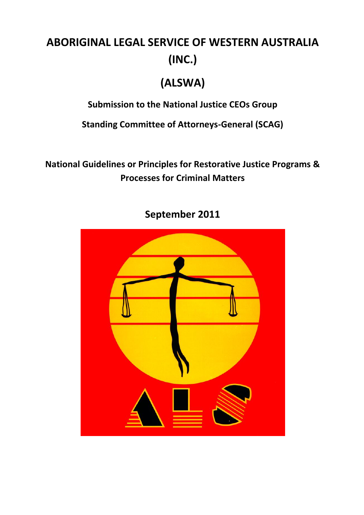# **ABORIGINAL LEGAL SERVICE OF WESTERN AUSTRALIA (INC.)**

# **(ALSWA)**

**Submission to the National Justice CEOs Group**

**Standing Committee of Attorneys-General (SCAG)**

**National Guidelines or Principles for Restorative Justice Programs & Processes for Criminal Matters**



**September 2011**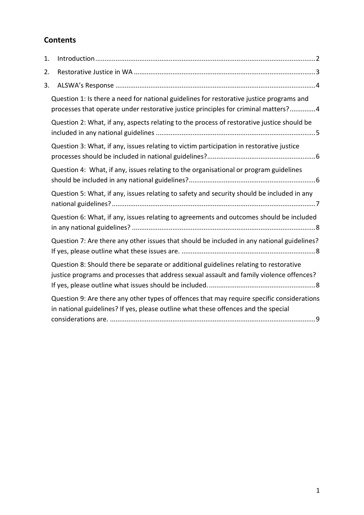## **Contents**

| 1. |                                                                                                                                                                                   |
|----|-----------------------------------------------------------------------------------------------------------------------------------------------------------------------------------|
| 2. |                                                                                                                                                                                   |
| 3. |                                                                                                                                                                                   |
|    | Question 1: Is there a need for national guidelines for restorative justice programs and<br>processes that operate under restorative justice principles for criminal matters?4    |
|    | Question 2: What, if any, aspects relating to the process of restorative justice should be                                                                                        |
|    | Question 3: What, if any, issues relating to victim participation in restorative justice                                                                                          |
|    | Question 4: What, if any, issues relating to the organisational or program guidelines                                                                                             |
|    | Question 5: What, if any, issues relating to safety and security should be included in any                                                                                        |
|    | Question 6: What, if any, issues relating to agreements and outcomes should be included                                                                                           |
|    | Question 7: Are there any other issues that should be included in any national guidelines?                                                                                        |
|    | Question 8: Should there be separate or additional guidelines relating to restorative<br>justice programs and processes that address sexual assault and family violence offences? |
|    | Question 9: Are there any other types of offences that may require specific considerations<br>in national guidelines? If yes, please outline what these offences and the special  |
|    |                                                                                                                                                                                   |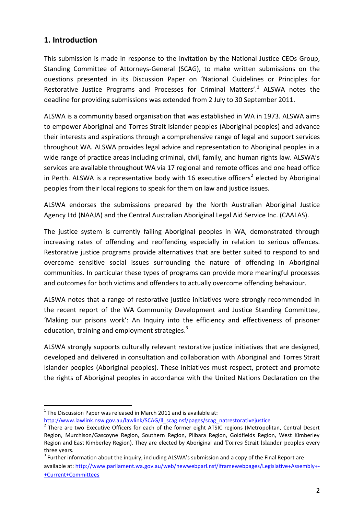#### <span id="page-2-0"></span>**1. Introduction**

This submission is made in response to the invitation by the National Justice CEOs Group, Standing Committee of Attorneys-General (SCAG), to make written submissions on the questions presented in its Discussion Paper on 'National Guidelines or Principles for Restorative Justice Programs and Processes for Criminal Matters'.<sup>1</sup> ALSWA notes the deadline for providing submissions was extended from 2 July to 30 September 2011.

ALSWA is a community based organisation that was established in WA in 1973. ALSWA aims to empower Aboriginal and Torres Strait Islander peoples (Aboriginal peoples) and advance their interests and aspirations through a comprehensive range of legal and support services throughout WA. ALSWA provides legal advice and representation to Aboriginal peoples in a wide range of practice areas including criminal, civil, family, and human rights law. ALSWA's services are available throughout WA via 17 regional and remote offices and one head office in Perth. ALSWA is a representative body with 16 executive officers<sup>2</sup> elected by Aboriginal peoples from their local regions to speak for them on law and justice issues.

ALSWA endorses the submissions prepared by the North Australian Aboriginal Justice Agency Ltd (NAAJA) and the Central Australian Aboriginal Legal Aid Service Inc. (CAALAS).

The justice system is currently failing Aboriginal peoples in WA, demonstrated through increasing rates of offending and reoffending especially in relation to serious offences. Restorative justice programs provide alternatives that are better suited to respond to and overcome sensitive social issues surrounding the nature of offending in Aboriginal communities. In particular these types of programs can provide more meaningful processes and outcomes for both victims and offenders to actually overcome offending behaviour.

ALSWA notes that a range of restorative justice initiatives were strongly recommended in the recent report of the WA Community Development and Justice Standing Committee, 'Making our prisons work': An Inquiry into the efficiency and effectiveness of prisoner education, training and employment strategies. $3$ 

ALSWA strongly supports culturally relevant restorative justice initiatives that are designed, developed and delivered in consultation and collaboration with Aboriginal and Torres Strait Islander peoples (Aboriginal peoples). These initiatives must respect, protect and promote the rights of Aboriginal peoples in accordance with the United Nations Declaration on the

-

[http://www.lawlink.nsw.gov.au/lawlink/SCAG/ll\\_scag.nsf/pages/scag\\_natrestorativejustice](http://www.lawlink.nsw.gov.au/lawlink/SCAG/ll_scag.nsf/pages/scag_natrestorativejustice)

 $1$  The Discussion Paper was released in March 2011 and is available at:

<sup>&</sup>lt;sup>2</sup> There are two Executive Officers for each of the former eight ATSIC regions (Metropolitan, Central Desert Region, Murchison/Gascoyne Region, Southern Region, Pilbara Region, Goldfields Region, West Kimberley Region and East Kimberley Region). They are elected by Aboriginal and Torres Strait Islander peoples every three years.

 $3$  Further information about the inquiry, including ALSWA's submission and a copy of the Final Report are available at: [http://www.parliament.wa.gov.au/web/newwebparl.nsf/iframewebpages/Legislative+Assembly+-](http://www.parliament.wa.gov.au/web/newwebparl.nsf/iframewebpages/Legislative+Assembly+-+Current+Committees) [+Current+Committees](http://www.parliament.wa.gov.au/web/newwebparl.nsf/iframewebpages/Legislative+Assembly+-+Current+Committees)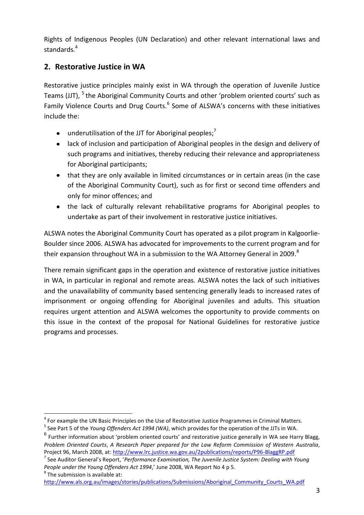Rights of Indigenous Peoples (UN Declaration) and other relevant international laws and standards.<sup>4</sup>

### <span id="page-3-0"></span>**2. Restorative Justice in WA**

Restorative justice principles mainly exist in WA through the operation of Juvenile Justice Teams (JJT), <sup>5</sup> the Aboriginal Community Courts and other 'problem oriented courts' such as Family Violence Courts and Drug Courts.<sup>6</sup> Some of ALSWA's concerns with these initiatives include the:

- underutilisation of the JJT for Aboriginal peoples;<sup>7</sup>
- lack of inclusion and participation of Aboriginal peoples in the design and delivery of such programs and initiatives, thereby reducing their relevance and appropriateness for Aboriginal participants;
- that they are only available in limited circumstances or in certain areas (in the case  $\bullet$ of the Aboriginal Community Court), such as for first or second time offenders and only for minor offences; and
- the lack of culturally relevant rehabilitative programs for Aboriginal peoples to undertake as part of their involvement in restorative justice initiatives.

ALSWA notes the Aboriginal Community Court has operated as a pilot program in Kalgoorlie-Boulder since 2006. ALSWA has advocated for improvements to the current program and for their expansion throughout WA in a submission to the WA Attorney General in 2009. $8$ 

There remain significant gaps in the operation and existence of restorative justice initiatives in WA, in particular in regional and remote areas. ALSWA notes the lack of such initiatives and the unavailability of community based sentencing generally leads to increased rates of imprisonment or ongoing offending for Aboriginal juveniles and adults. This situation requires urgent attention and ALSWA welcomes the opportunity to provide comments on this issue in the context of the proposal for National Guidelines for restorative justice programs and processes.

7 See Auditor General's Report, '*Performance Examination, The Juvenile Justice System: Dealing with Young People under the Young Offenders Act 1994*,' June 2008, WA Report No 4 p 5.

 $^8$  The submission is available at:

[http://www.als.org.au/images/stories/publications/Submissions/Aboriginal\\_Community\\_Courts\\_WA.pdf](http://www.als.org.au/images/stories/publications/Submissions/Aboriginal_Community_Courts_WA.pdf)

<sup>-</sup><sup>4</sup> For example the UN Basic Principles on the Use of Restorative Justice Programmes in Criminal Matters.

<sup>5</sup> See Part 5 of the *Young Offenders Act 1994 (WA)*, which provides for the operation of the JJTs in WA.

<sup>&</sup>lt;sup>6</sup> Further information about 'problem oriented courts' and restorative justice generally in WA see Harry Blagg, *Problem Oriented Courts*, *A Research Paper prepared for the Law Reform Commission of Western Australia*, Project 96, March 2008, at: <http://www.lrc.justice.wa.gov.au/2publications/reports/P96-BlaggRP.pdf>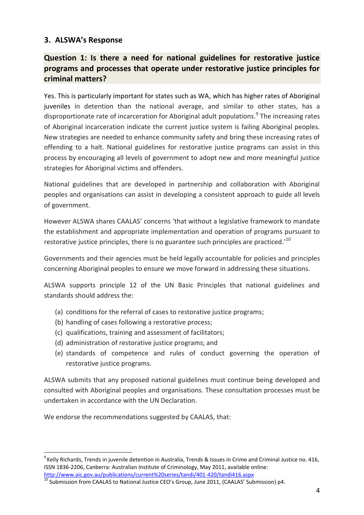#### <span id="page-4-0"></span>**3. ALSWA's Response**

### <span id="page-4-1"></span>**Question 1: Is there a need for national guidelines for restorative justice programs and processes that operate under restorative justice principles for criminal matters?**

Yes. This is particularly important for states such as WA, which has higher rates of Aboriginal juveniles in detention than the national average, and similar to other states, has a disproportionate rate of incarceration for Aboriginal adult populations.<sup>9</sup> The increasing rates of Aboriginal incarceration indicate the current justice system is failing Aboriginal peoples. New strategies are needed to enhance community safety and bring these increasing rates of offending to a halt. National guidelines for restorative justice programs can assist in this process by encouraging all levels of government to adopt new and more meaningful justice strategies for Aboriginal victims and offenders.

National guidelines that are developed in partnership and collaboration with Aboriginal peoples and organisations can assist in developing a consistent approach to guide all levels of government.

However ALSWA shares CAALAS' concerns 'that without a legislative framework to mandate the establishment and appropriate implementation and operation of programs pursuant to restorative justice principles, there is no guarantee such principles are practiced.<sup>10</sup>

Governments and their agencies must be held legally accountable for policies and principles concerning Aboriginal peoples to ensure we move forward in addressing these situations.

ALSWA supports principle 12 of the UN Basic Principles that national guidelines and standards should address the:

- (a) conditions for the referral of cases to restorative justice programs;
- (b) handling of cases following a restorative process;
- (c) qualifications, training and assessment of facilitators;
- (d) administration of restorative justice programs; and
- (e) standards of competence and rules of conduct governing the operation of restorative justice programs.

ALSWA submits that any proposed national guidelines must continue being developed and consulted with Aboriginal peoples and organisations. These consultation processes must be undertaken in accordance with the UN Declaration.

We endorse the recommendations suggested by CAALAS, that:

-

<sup>&</sup>lt;sup>9</sup> Kelly Richards, Trends in juvenile detention in Australia, Trends & Issues in Crime and Criminal Justice no. 416, ISSN 1836-2206, Canberra: Australian Institute of Criminology, May 2011, available online: <http://www.aic.gov.au/publications/current%20series/tandi/401-420/tandi416.aspx>

 $^{10}$  Submission from CAALAS to National Justice CEO's Group, June 2011, (CAALAS' Submission) p4.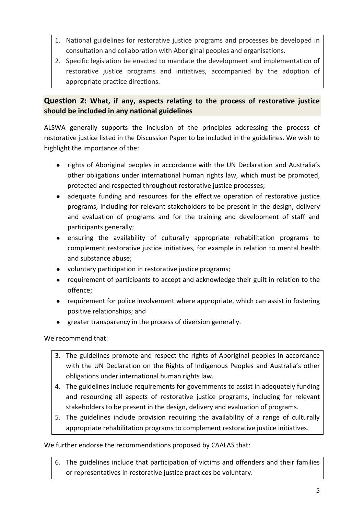- 1. National guidelines for restorative justice programs and processes be developed in consultation and collaboration with Aboriginal peoples and organisations.
- 2. Specific legislation be enacted to mandate the development and implementation of restorative justice programs and initiatives, accompanied by the adoption of appropriate practice directions.

#### <span id="page-5-0"></span>**Question 2: What, if any, aspects relating to the process of restorative justice should be included in any national guidelines**

ALSWA generally supports the inclusion of the principles addressing the process of restorative justice listed in the Discussion Paper to be included in the guidelines. We wish to highlight the importance of the:

- rights of Aboriginal peoples in accordance with the UN Declaration and Australia's other obligations under international human rights law, which must be promoted, protected and respected throughout restorative justice processes;
- $\bullet$ adequate funding and resources for the effective operation of restorative justice programs, including for relevant stakeholders to be present in the design, delivery and evaluation of programs and for the training and development of staff and participants generally;
- ensuring the availability of culturally appropriate rehabilitation programs to complement restorative justice initiatives, for example in relation to mental health and substance abuse;
- voluntary participation in restorative justice programs;
- requirement of participants to accept and acknowledge their guilt in relation to the offence;
- requirement for police involvement where appropriate, which can assist in fostering positive relationships; and
- greater transparency in the process of diversion generally.

We recommend that:

- 3. The guidelines promote and respect the rights of Aboriginal peoples in accordance with the UN Declaration on the Rights of Indigenous Peoples and Australia's other obligations under international human rights law.
- 4. The guidelines include requirements for governments to assist in adequately funding and resourcing all aspects of restorative justice programs, including for relevant stakeholders to be present in the design, delivery and evaluation of programs.
- 5. The guidelines include provision requiring the availability of a range of culturally appropriate rehabilitation programs to complement restorative justice initiatives.

We further endorse the recommendations proposed by CAALAS that:

6. The guidelines include that participation of victims and offenders and their families or representatives in restorative justice practices be voluntary.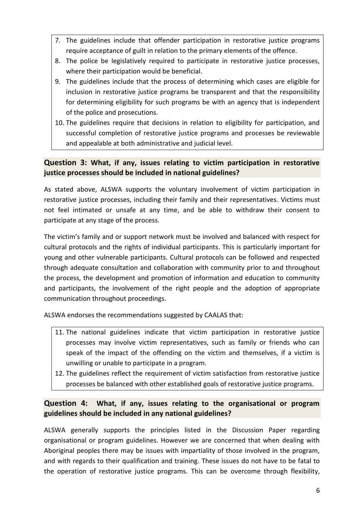- 7. The guidelines include that offender participation in restorative justice programs require acceptance of guilt in relation to the primary elements of the offence.
- 8. The police be legislatively required to participate in restorative justice processes, where their participation would be beneficial.
- 9. The guidelines include that the process of determining which cases are eligible for inclusion in restorative justice programs be transparent and that the responsibility for determining eligibility for such programs be with an agency that is independent of the police and prosecutions.
- 10. The guidelines require that decisions in relation to eligibility for participation, and successful completion of restorative justice programs and processes be reviewable and appealable at both administrative and judicial level.

#### <span id="page-6-0"></span>**Question 3: What, if any, issues relating to victim participation in restorative justice processes should be included in national guidelines?**

As stated above, ALSWA supports the voluntary involvement of victim participation in restorative justice processes, including their family and their representatives. Victims must not feel intimated or unsafe at any time, and be able to withdraw their consent to participate at any stage of the process.

The victim's family and or support network must be involved and balanced with respect for cultural protocols and the rights of individual participants. This is particularly important for young and other vulnerable participants. Cultural protocols can be followed and respected through adequate consultation and collaboration with community prior to and throughout the process, the development and promotion of information and education to community and participants, the involvement of the right people and the adoption of appropriate communication throughout proceedings.

ALSWA endorses the recommendations suggested by CAALAS that:

- 11. The national guidelines indicate that victim participation in restorative justice processes may involve victim representatives, such as family or friends who can speak of the impact of the offending on the victim and themselves, if a victim is unwilling or unable to participate in a program.
- 12. The guidelines reflect the requirement of victim satisfaction from restorative justice processes be balanced with other established goals of restorative justice programs.

#### <span id="page-6-1"></span>**Question 4: What, if any, issues relating to the organisational or program guidelines should be included in any national guidelines?**

ALSWA generally supports the principles listed in the Discussion Paper regarding organisational or program guidelines. However we are concerned that when dealing with Aboriginal peoples there may be issues with impartiality of those involved in the program, and with regards to their qualification and training. These issues do not have to be fatal to the operation of restorative justice programs. This can be overcome through flexibility,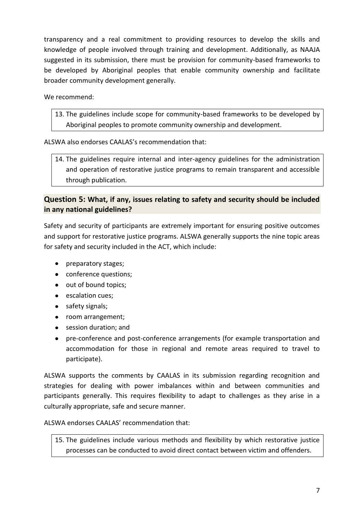transparency and a real commitment to providing resources to develop the skills and knowledge of people involved through training and development. Additionally, as NAAJA suggested in its submission, there must be provision for community-based frameworks to be developed by Aboriginal peoples that enable community ownership and facilitate broader community development generally.

We recommend:

13. The guidelines include scope for community-based frameworks to be developed by Aboriginal peoples to promote community ownership and development.

ALSWA also endorses CAALAS's recommendation that:

14. The guidelines require internal and inter-agency guidelines for the administration and operation of restorative justice programs to remain transparent and accessible through publication.

#### <span id="page-7-0"></span>**Question 5: What, if any, issues relating to safety and security should be included in any national guidelines?**

Safety and security of participants are extremely important for ensuring positive outcomes and support for restorative justice programs. ALSWA generally supports the nine topic areas for safety and security included in the ACT, which include:

- preparatory stages;
- conference questions;
- out of bound topics;
- escalation cues:
- safety signals;
- room arrangement;
- session duration: and
- pre-conference and post-conference arrangements (for example transportation and accommodation for those in regional and remote areas required to travel to participate).

ALSWA supports the comments by CAALAS in its submission regarding recognition and strategies for dealing with power imbalances within and between communities and participants generally. This requires flexibility to adapt to challenges as they arise in a culturally appropriate, safe and secure manner.

ALSWA endorses CAALAS' recommendation that:

15. The guidelines include various methods and flexibility by which restorative justice processes can be conducted to avoid direct contact between victim and offenders.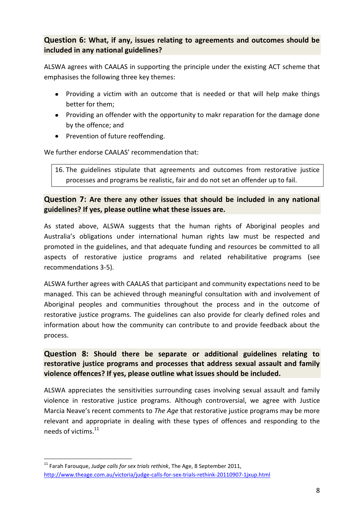#### <span id="page-8-0"></span>**Question 6: What, if any, issues relating to agreements and outcomes should be included in any national guidelines?**

ALSWA agrees with CAALAS in supporting the principle under the existing ACT scheme that emphasises the following three key themes:

- Providing a victim with an outcome that is needed or that will help make things better for them;
- Providing an offender with the opportunity to makr reparation for the damage done by the offence; and
- Prevention of future reoffending.

We further endorse CAALAS' recommendation that:

16. The guidelines stipulate that agreements and outcomes from restorative justice processes and programs be realistic, fair and do not set an offender up to fail.

#### <span id="page-8-1"></span>**Question 7: Are there any other issues that should be included in any national guidelines? If yes, please outline what these issues are.**

As stated above, ALSWA suggests that the human rights of Aboriginal peoples and Australia's obligations under international human rights law must be respected and promoted in the guidelines, and that adequate funding and resources be committed to all aspects of restorative justice programs and related rehabilitative programs (see recommendations 3-5).

ALSWA further agrees with CAALAS that participant and community expectations need to be managed. This can be achieved through meaningful consultation with and involvement of Aboriginal peoples and communities throughout the process and in the outcome of restorative justice programs. The guidelines can also provide for clearly defined roles and information about how the community can contribute to and provide feedback about the process.

#### <span id="page-8-2"></span>**Question 8: Should there be separate or additional guidelines relating to restorative justice programs and processes that address sexual assault and family violence offences? If yes, please outline what issues should be included.**

ALSWA appreciates the sensitivities surrounding cases involving sexual assault and family violence in restorative justice programs. Although controversial, we agree with Justice Marcia Neave's recent comments to *The Age* that restorative justice programs may be more relevant and appropriate in dealing with these types of offences and responding to the needs of victims. 11

<sup>-</sup><sup>11</sup> Farah Farouque, *Judge calls for sex trials rethink*, The Age, 8 September 2011, <http://www.theage.com.au/victoria/judge-calls-for-sex-trials-rethink-20110907-1jxup.html>